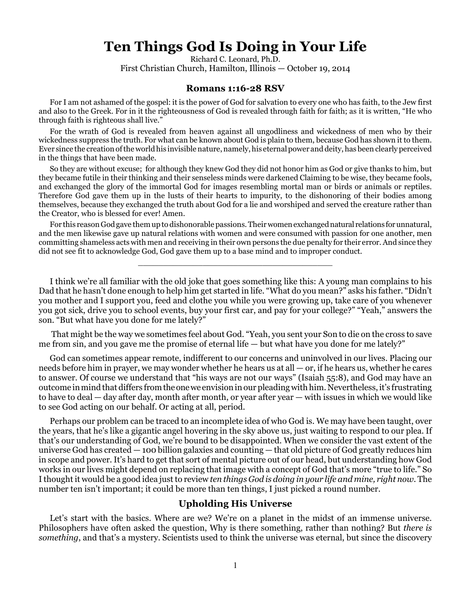# Ten Things God Is Doing in Your Life

Richard C. Leonard, Ph.D. First Christian Church, Hamilton, Illinois — October 19, 2014

### Romans 1:16-28 RSV

For I am not ashamed of the gospel: it is the power of God for salvation to every one who has faith, to the Jew first and also to the Greek. For in it the righteousness of God is revealed through faith for faith; as it is written, "He who through faith is righteous shall live."

For the wrath of God is revealed from heaven against all ungodliness and wickedness of men who by their wickedness suppress the truth. For what can be known about God is plain to them, because God has shown it to them. Ever since the creation of the world his invisible nature, namely, his eternal power and deity, has been clearly perceived in the things that have been made.

So they are without excuse; for although they knew God they did not honor him as God or give thanks to him, but they became futile in their thinking and their senseless minds were darkened Claiming to be wise, they became fools, and exchanged the glory of the immortal God for images resembling mortal man or birds or animals or reptiles. Therefore God gave them up in the lusts of their hearts to impurity, to the dishonoring of their bodies among themselves, because they exchanged the truth about God for a lie and worshiped and served the creature rather than the Creator, who is blessed for ever! Amen.

For this reason God gave them up to dishonorable passions. Their women exchanged natural relations for unnatural, and the men likewise gave up natural relations with women and were consumed with passion for one another, men committing shameless acts with men and receiving in their own persons the due penalty for their error. And since they did not see fit to acknowledge God, God gave them up to a base mind and to improper conduct.

\_\_\_\_\_\_\_\_\_\_\_\_\_\_\_\_\_\_\_\_\_\_\_\_\_\_\_\_\_\_\_\_\_\_\_\_\_\_\_

I think we're all familiar with the old joke that goes something like this: A young man complains to his Dad that he hasn't done enough to help him get started in life. "What do you mean?" asks his father. "Didn't you mother and I support you, feed and clothe you while you were growing up, take care of you whenever you got sick, drive you to school events, buy your first car, and pay for your college?" "Yeah," answers the son. "But what have you done for me lately?"

 That might be the way we sometimes feel about God. "Yeah, you sent your Son to die on the cross to save me from sin, and you gave me the promise of eternal life — but what have you done for me lately?"

God can sometimes appear remote, indifferent to our concerns and uninvolved in our lives. Placing our needs before him in prayer, we may wonder whether he hears us at all — or, if he hears us, whether he cares to answer. Of course we understand that "his ways are not our ways" (Isaiah 55:8), and God may have an outcome in mind that differs from the one we envision in our pleading with him. Nevertheless, it's frustrating to have to deal — day after day, month after month, or year after year — with issues in which we would like to see God acting on our behalf. Or acting at all, period.

Perhaps our problem can be traced to an incomplete idea of who God is. We may have been taught, over the years, that he's like a gigantic angel hovering in the sky above us, just waiting to respond to our plea. If that's our understanding of God, we're bound to be disappointed. When we consider the vast extent of the universe God has created — 100 billion galaxies and counting — that old picture of God greatly reduces him in scope and power. It's hard to get that sort of mental picture out of our head, but understanding how God works in our lives might depend on replacing that image with a concept of God that's more "true to life." So I thought it would be a good idea just to review ten things God is doing in your life and mine, right now. The number ten isn't important; it could be more than ten things, I just picked a round number.

## Upholding His Universe

Let's start with the basics. Where are we? We're on a planet in the midst of an immense universe. Philosophers have often asked the question, Why is there something, rather than nothing? But there is something, and that's a mystery. Scientists used to think the universe was eternal, but since the discovery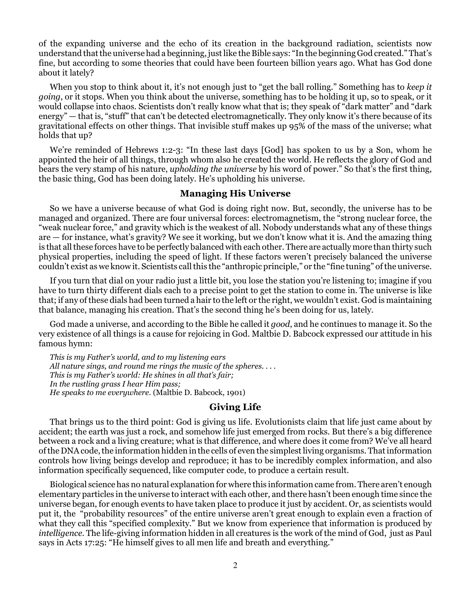of the expanding universe and the echo of its creation in the background radiation, scientists now understand that the universe had a beginning, just like the Bible says: "In the beginning God created." That's fine, but according to some theories that could have been fourteen billion years ago. What has God done about it lately?

When you stop to think about it, it's not enough just to "get the ball rolling." Something has to keep it going, or it stops. When you think about the universe, something has to be holding it up, so to speak, or it would collapse into chaos. Scientists don't really know what that is; they speak of "dark matter" and "dark energy" — that is, "stuff" that can't be detected electromagnetically. They only know it's there because of its gravitational effects on other things. That invisible stuff makes up 95% of the mass of the universe; what holds that up?

We're reminded of Hebrews 1:2-3: "In these last days [God] has spoken to us by a Son, whom he appointed the heir of all things, through whom also he created the world. He reflects the glory of God and bears the very stamp of his nature, upholding the universe by his word of power." So that's the first thing, the basic thing, God has been doing lately. He's upholding his universe.

#### Managing His Universe

So we have a universe because of what God is doing right now. But, secondly, the universe has to be managed and organized. There are four universal forces: electromagnetism, the "strong nuclear force, the "weak nuclear force," and gravity which is the weakest of all. Nobody understands what any of these things are — for instance, what's gravity? We see it working, but we don't know what it is. And the amazing thing is that all these forces have to be perfectly balanced with each other. There are actually more than thirty such physical properties, including the speed of light. If these factors weren't precisely balanced the universe couldn't exist as we know it. Scientists call this the "anthropic principle," or the "fine tuning" of the universe.

If you turn that dial on your radio just a little bit, you lose the station you're listening to; imagine if you have to turn thirty different dials each to a precise point to get the station to come in. The universe is like that; if any of these dials had been turned a hair to the left or the right, we wouldn't exist. God is maintaining that balance, managing his creation. That's the second thing he's been doing for us, lately.

God made a universe, and according to the Bible he called it *good*, and he continues to manage it. So the very existence of all things is a cause for rejoicing in God. Maltbie D. Babcock expressed our attitude in his famous hymn:

This is my Father's world, and to my listening ears All nature sings, and round me rings the music of the spheres... This is my Father's world: He shines in all that's fair; In the rustling grass I hear Him pass; He speaks to me everywhere. (Maltbie D. Babcock, 1901)

## Giving Life

That brings us to the third point: God is giving us life. Evolutionists claim that life just came about by accident; the earth was just a rock, and somehow life just emerged from rocks. But there's a big difference between a rock and a living creature; what is that difference, and where does it come from? We've all heard of the DNA code, the information hidden in the cells of even the simplest living organisms. That information controls how living beings develop and reproduce; it has to be incredibly complex information, and also information specifically sequenced, like computer code, to produce a certain result.

Biological science has no natural explanation for where this information came from. There aren't enough elementary particles in the universe to interact with each other, and there hasn't been enough time since the universe began, for enough events to have taken place to produce it just by accident. Or, as scientists would put it, the "probability resources" of the entire universe aren't great enough to explain even a fraction of what they call this "specified complexity." But we know from experience that information is produced by intelligence. The life-giving information hidden in all creatures is the work of the mind of God, just as Paul says in Acts 17:25: "He himself gives to all men life and breath and everything."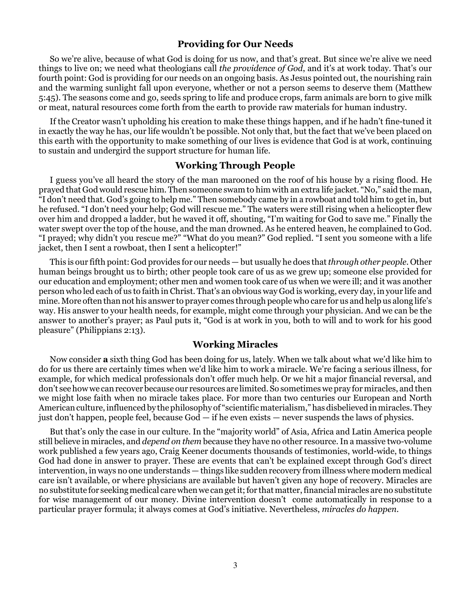## Providing for Our Needs

So we're alive, because of what God is doing for us now, and that's great. But since we're alive we need things to live on; we need what theologians call the providence of God, and it's at work today. That's our fourth point: God is providing for our needs on an ongoing basis. As Jesus pointed out, the nourishing rain and the warming sunlight fall upon everyone, whether or not a person seems to deserve them (Matthew 5:45). The seasons come and go, seeds spring to life and produce crops, farm animals are born to give milk or meat, natural resources come forth from the earth to provide raw materials for human industry.

If the Creator wasn't upholding his creation to make these things happen, and if he hadn't fine-tuned it in exactly the way he has, our life wouldn't be possible. Not only that, but the fact that we've been placed on this earth with the opportunity to make something of our lives is evidence that God is at work, continuing to sustain and undergird the support structure for human life.

## Working Through People

I guess you've all heard the story of the man marooned on the roof of his house by a rising flood. He prayed that God would rescue him. Then someone swam to him with an extra life jacket. "No," said the man, "I don't need that. God's going to help me." Then somebody came by in a rowboat and told him to get in, but he refused. "I don't need your help; God will rescue me." The waters were still rising when a helicopter flew over him and dropped a ladder, but he waved it off, shouting, "I'm waiting for God to save me." Finally the water swept over the top of the house, and the man drowned. As he entered heaven, he complained to God. "I prayed; why didn't you rescue me?" "What do you mean?" God replied. "I sent you someone with a life jacket, then I sent a rowboat, then I sent a helicopter!"

This is our fifth point: God provides for our needs — but usually he does that *through other people*. Other human beings brought us to birth; other people took care of us as we grew up; someone else provided for our education and employment; other men and women took care of us when we were ill; and it was another person who led each of us to faith in Christ. That's an obvious way God is working, every day, in your life and mine. More often than not his answer to prayer comes through people who care for us and help us along life's way. His answer to your health needs, for example, might come through your physician. And we can be the answer to another's prayer; as Paul puts it, "God is at work in you, both to will and to work for his good pleasure" (Philippians 2:13).

#### Working Miracles

Now consider a sixth thing God has been doing for us, lately. When we talk about what we'd like him to do for us there are certainly times when we'd like him to work a miracle. We're facing a serious illness, for example, for which medical professionals don't offer much help. Or we hit a major financial reversal, and don't see how we can recover because our resources are limited. So sometimes we pray for miracles, and then we might lose faith when no miracle takes place. For more than two centuries our European and North American culture, influenced by the philosophy of "scientific materialism," has disbelieved in miracles. They just don't happen, people feel, because God — if he even exists — never suspends the laws of physics.

But that's only the case in our culture. In the "majority world" of Asia, Africa and Latin America people still believe in miracles, and *depend on them* because they have no other resource. In a massive two-volume work published a few years ago, Craig Keener documents thousands of testimonies, world-wide, to things God had done in answer to prayer. These are events that can't be explained except through God's direct intervention, in ways no one understands — things like sudden recovery from illness where modern medical care isn't available, or where physicians are available but haven't given any hope of recovery. Miracles are no substitute for seeking medical care when we can get it; for that matter, financial miracles are no substitute for wise management of our money. Divine intervention doesn't come automatically in response to a particular prayer formula; it always comes at God's initiative. Nevertheless, miracles do happen.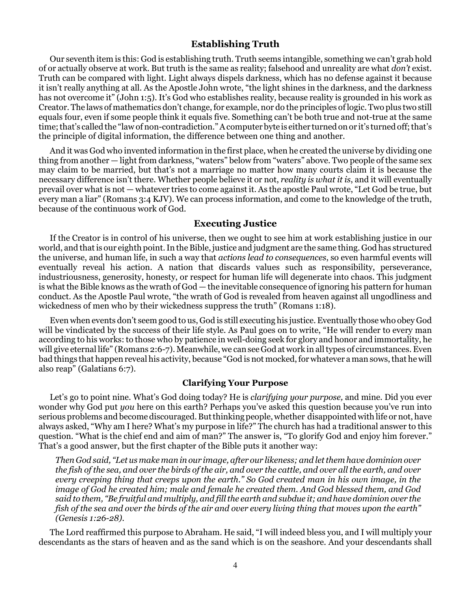# Establishing Truth

Our seventh item is this: God is establishing truth. Truth seems intangible, something we can't grab hold of or actually observe at work. But truth is the same as reality; falsehood and unreality are what don't exist. Truth can be compared with light. Light always dispels darkness, which has no defense against it because it isn't really anything at all. As the Apostle John wrote, "the light shines in the darkness, and the darkness has not overcome it" (John 1:5). It's God who establishes reality, because reality is grounded in his work as Creator. The laws of mathematics don't change, for example, nor do the principles of logic. Two plus two still equals four, even if some people think it equals five. Something can't be both true and not-true at the same time; that's called the "law of non-contradiction." A computer byte is either turned on or it's turned off; that's the principle of digital information, the difference between one thing and another.

And it was God who invented information in the first place, when he created the universe by dividing one thing from another — light from darkness, "waters" below from "waters" above. Two people of the same sex may claim to be married, but that's not a marriage no matter how many courts claim it is because the necessary difference isn't there. Whether people believe it or not, *reality is what it is*, and it will eventually prevail over what is not — whatever tries to come against it. As the apostle Paul wrote, "Let God be true, but every man a liar" (Romans 3:4 KJV). We can process information, and come to the knowledge of the truth, because of the continuous work of God.

#### Executing Justice

If the Creator is in control of his universe, then we ought to see him at work establishing justice in our world, and that is our eighth point. In the Bible, justice and judgment are the same thing. God has structured the universe, and human life, in such a way that actions lead to consequences, so even harmful events will eventually reveal his action. A nation that discards values such as responsibility, perseverance, industriousness, generosity, honesty, or respect for human life will degenerate into chaos. This judgment is what the Bible knows as the wrath of God — the inevitable consequence of ignoring his pattern for human conduct. As the Apostle Paul wrote, "the wrath of God is revealed from heaven against all ungodliness and wickedness of men who by their wickedness suppress the truth" (Romans 1:18).

Even when events don't seem good to us, God is still executing his justice. Eventually those who obey God will be vindicated by the success of their life style. As Paul goes on to write, "He will render to every man according to his works: to those who by patience in well-doing seek for glory and honor and immortality, he will give eternal life" (Romans 2:6-7). Meanwhile, we can see God at work in all types of circumstances. Even bad things that happen reveal his activity, because "God is not mocked, for whatever a man sows, that he will also reap" (Galatians 6:7).

#### Clarifying Your Purpose

Let's go to point nine. What's God doing today? He is *clarifying your purpose*, and mine. Did you ever wonder why God put *you* here on this earth? Perhaps you've asked this question because you've run into serious problems and become discouraged. But thinking people, whether disappointed with life or not, have always asked, "Why am I here? What's my purpose in life?" The church has had a traditional answer to this question. "What is the chief end and aim of man?" The answer is, "To glorify God and enjoy him forever." That's a good answer, but the first chapter of the Bible puts it another way:

Then God said, "Let us make man in our image, after our likeness; and let them have dominion over the fish of the sea, and over the birds of the air, and over the cattle, and over all the earth, and over every creeping thing that creeps upon the earth." So God created man in his own image, in the image of God he created him; male and female he created them. And God blessed them, and God said to them, "Be fruitful and multiply, and fill the earth and subdue it; and have dominion over the fish of the sea and over the birds of the air and over every living thing that moves upon the earth" (Genesis 1:26-28).

The Lord reaffirmed this purpose to Abraham. He said, "I will indeed bless you, and I will multiply your descendants as the stars of heaven and as the sand which is on the seashore. And your descendants shall